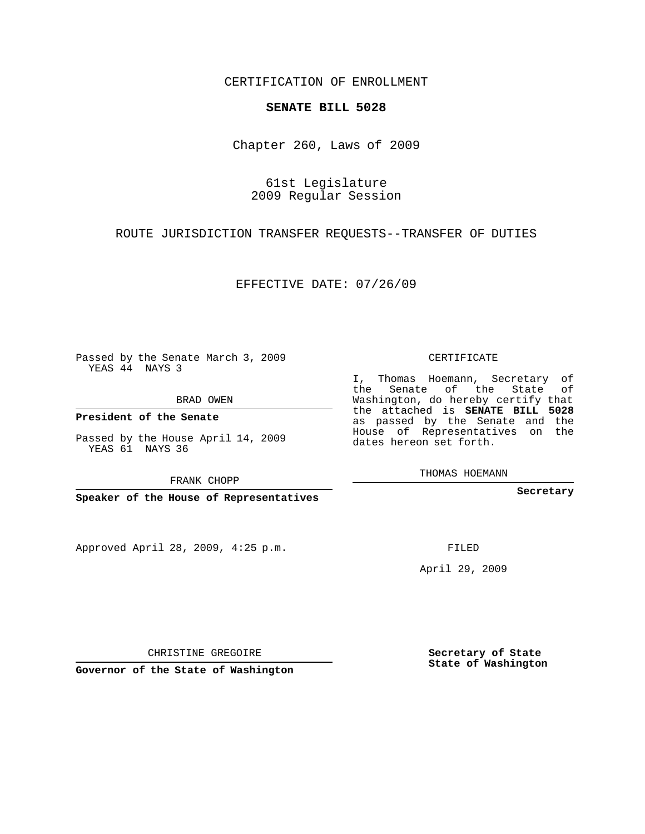## CERTIFICATION OF ENROLLMENT

#### **SENATE BILL 5028**

Chapter 260, Laws of 2009

## 61st Legislature 2009 Regular Session

## ROUTE JURISDICTION TRANSFER REQUESTS--TRANSFER OF DUTIES

EFFECTIVE DATE: 07/26/09

Passed by the Senate March 3, 2009 YEAS 44 NAYS 3

BRAD OWEN

**President of the Senate**

Passed by the House April 14, 2009 YEAS 61 NAYS 36

FRANK CHOPP

**Speaker of the House of Representatives**

Approved April 28, 2009, 4:25 p.m.

CERTIFICATE

I, Thomas Hoemann, Secretary of the Senate of the State of Washington, do hereby certify that the attached is **SENATE BILL 5028** as passed by the Senate and the House of Representatives on the dates hereon set forth.

THOMAS HOEMANN

**Secretary**

FILED

April 29, 2009

**Secretary of State State of Washington**

CHRISTINE GREGOIRE

**Governor of the State of Washington**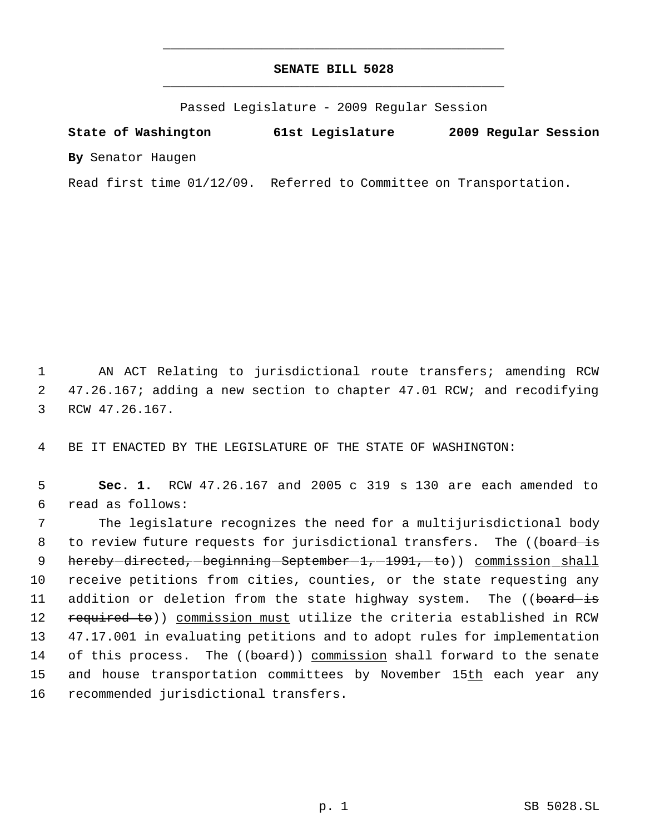# **SENATE BILL 5028** \_\_\_\_\_\_\_\_\_\_\_\_\_\_\_\_\_\_\_\_\_\_\_\_\_\_\_\_\_\_\_\_\_\_\_\_\_\_\_\_\_\_\_\_\_

\_\_\_\_\_\_\_\_\_\_\_\_\_\_\_\_\_\_\_\_\_\_\_\_\_\_\_\_\_\_\_\_\_\_\_\_\_\_\_\_\_\_\_\_\_

Passed Legislature - 2009 Regular Session

**State of Washington 61st Legislature 2009 Regular Session By** Senator Haugen

Read first time 01/12/09. Referred to Committee on Transportation.

 1 AN ACT Relating to jurisdictional route transfers; amending RCW 2 47.26.167; adding a new section to chapter 47.01 RCW; and recodifying 3 RCW 47.26.167.

4 BE IT ENACTED BY THE LEGISLATURE OF THE STATE OF WASHINGTON:

 5 **Sec. 1.** RCW 47.26.167 and 2005 c 319 s 130 are each amended to 6 read as follows:

 7 The legislature recognizes the need for a multijurisdictional body 8 to review future requests for jurisdictional transfers. The ((board is 9 hereby-directed,-beginning-September-1,-1991,-to)) commission\_shall 10 receive petitions from cities, counties, or the state requesting any 11 addition or deletion from the state highway system. The ((board is 12 required to)) commission must utilize the criteria established in RCW 13 47.17.001 in evaluating petitions and to adopt rules for implementation 14 of this process. The ((board)) commission shall forward to the senate 15 and house transportation committees by November 15th each year any 16 recommended jurisdictional transfers.